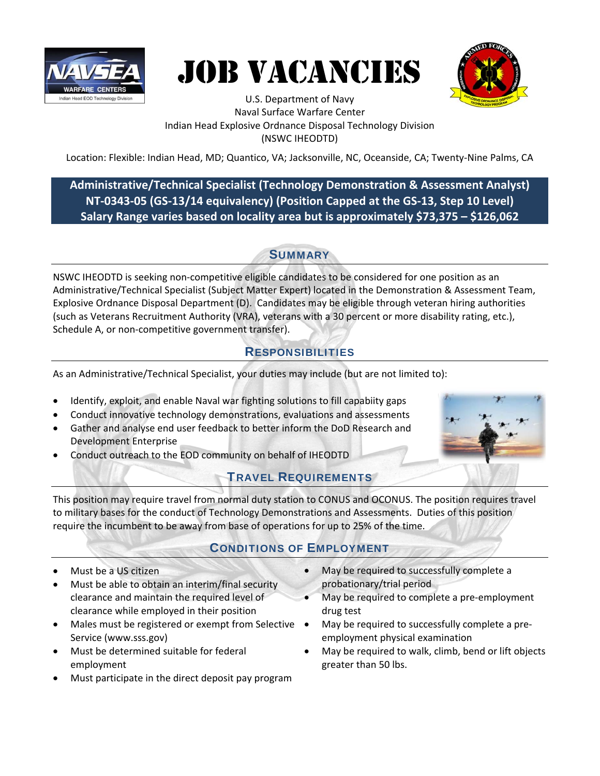





U.S. Department of Navy Naval Surface Warfare Center Indian Head Explosive Ordnance Disposal Technology Division (NSWC IHEODTD)

Location: Flexible: Indian Head, MD; Quantico, VA; Jacksonville, NC, Oceanside, CA; Twenty‐Nine Palms, CA

## **Administrative/Technical Specialist (Technology Demonstration & Assessment Analyst) NT‐0343‐05 (GS‐13/14 equivalency) (Position Capped at the GS‐13, Step 10 Level) Salary Range varies based on locality area but is approximately \$73,375 – \$126,062**

## **SUMMARY**

NSWC IHEODTD is seeking non‐competitive eligible candidates to be considered for one position as an Administrative/Technical Specialist (Subject Matter Expert) located in the Demonstration & Assessment Team, Explosive Ordnance Disposal Department (D). Candidates may be eligible through veteran hiring authorities (such as Veterans Recruitment Authority (VRA), veterans with a 30 percent or more disability rating, etc.), Schedule A, or non-competitive government transfer).

# RESPONSIBILITIES

As an Administrative/Technical Specialist, your duties may include (but are not limited to):

- Identify, exploit, and enable Naval war fighting solutions to fill capabiity gaps
- Conduct innovative technology demonstrations, evaluations and assessments
- Gather and analyse end user feedback to better inform the DoD Research and Development Enterprise
- Conduct outreach to the EOD community on behalf of IHEODTD

### TRAVEL REQUIREMENTS



This position may require travel from normal duty station to CONUS and OCONUS. The position requires travel to military bases for the conduct of Technology Demonstrations and Assessments. Duties of this position require the incumbent to be away from base of operations for up to 25% of the time.

## CONDITIONS OF EMPLOYMENT

- Must be a US citizen
- Must be able to obtain an interim/final security clearance and maintain the required level of clearance while employed in their position
- Males must be registered or exempt from Selective . Service (www.sss.gov)
- Must be determined suitable for federal employment
- Must participate in the direct deposit pay program
- May be required to successfully complete a probationary/trial period
- May be required to complete a pre‐employment drug test
- May be required to successfully complete a pre‐ employment physical examination
- May be required to walk, climb, bend or lift objects greater than 50 lbs.